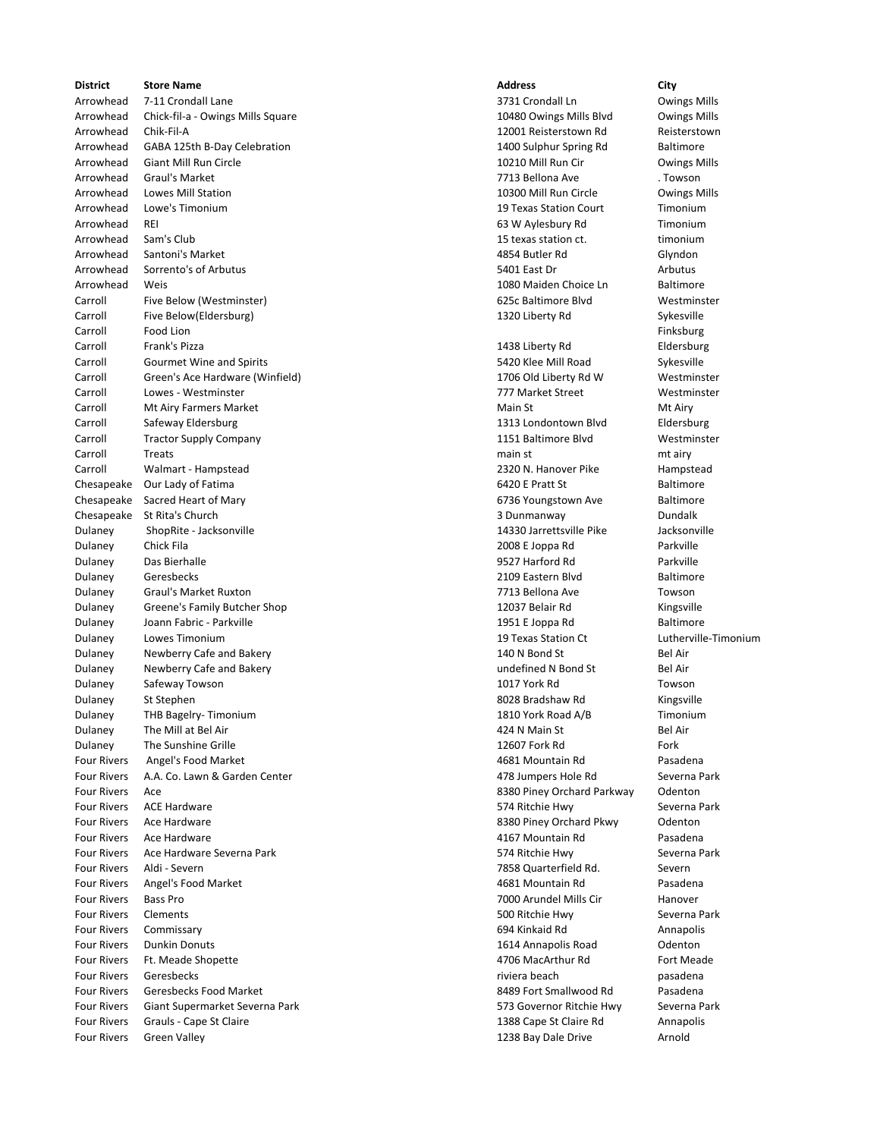**District Store Name Address City** Arrowhead 7-11 Crondall Lane 3731 Crondall Ln Crondall Ln Covings Mills Arrowhead Chick-fil-a - Owings Mills Square 10480 Owings Mills Blvd Owings Mills Blvd Owings Mills Arrowhead Chik-Fil-A 12001 Reisterstown Rd Reisterstown Arrowhead GABA 125th B-Day Celebration 1400 Sulphur Spring Rd Baltimore Arrowhead Giant Mill Run Circle 10210 Mill Run Cir Owings Mills Arrowhead Graul's Market 7713 Bellona Ave . Towson Arrowhead Lowes Mill Station 10300 Mill Run Circle Owings Mills Arrowhead Lowe's Timonium **19 Texas Station Court** Timonium 19 Texas Station Court Timonium Arrowhead REI 63 W Aylesbury Rd Timonium Arrowhead Sam's Club 15 texas station ct. timonium Arrowhead Santoni's Market **Arrowhead Santoni's Market** Arrowhead Santoni's Market Arrowhead Glyndon Arrowhead Sorrento's of Arbutus 6. The Society of Arbutus 5401 East Dr Arbutus 5401 East Dr Arbutus 5401 East Dr Arrowhead Weis **1080 Maiden Choice Ln** Baltimore Carroll Five Below (Westminster) 625c Baltimore Blvd Westminster Carroll Five Below(Eldersburg) 1320 Liberty Rd Sykesville Carroll Food Lion Finksburg Carroll Frank's Pizza 1438 Liberty Rd Eldersburg Carroll Gourmet Wine and Spirits 6420 Klee Mill Road Sykesville Carroll Green's Ace Hardware (Winfield) 1706 Old Liberty Rd W Westminster Carroll Lowes - Westminster 777 Market Street Westminster Carroll Mt Airy Farmers Market Main States and Main States and Mt Airy Mt Airy Mt Airy Mt Airy Mt Airy Mt Air Carroll Safeway Eldersburg 1313 Londontown Blvd Eldersburg Carroll Tractor Supply Company Company Company 1151 Baltimore Blvd Westminster Carroll Treats main st main st main st main st main st main st main st music main st music music music music m Carroll Carroll Walmart - Hampstead Carroll Carroll 2320 N. Hanover Pike Hampstead Chesapeake Our Lady of Fatima **6420 E Pratt St** Baltimore Chesapeake Sacred Heart of Mary **6736 Youngstown Ave Baltimore** 6736 Youngstown Ave Baltimore Chesapeake St Rita's Church 3 Dunmanway Dundalk Dulaney ShopRite - Jacksonville 14330 Jarrettsville Pike Jacksonville Dulaney Chick Fila 2008 E Joppa Rd Parkville Dulaney Das Bierhalle 9527 Harford Rd Parkville Dulaney Geresbecks 2109 Eastern Blvd Baltimore Dulaney Graul's Market Ruxton 7713 Bellona Ave Towson Dulaney Greene's Family Butcher Shop 12037 Belair Rd Kingsville Dulaney Joann Fabric - Parkville 1951 E Joppa Rd Baltimore Dulaney Lowes Timonium 19 Texas Station Ct Lutherville-Timonium Dulaney Newberry Cafe and Bakery **140 N Bond St** Bel Air Bel Air Dulaney Mewberry Cafe and Bakery **Newberry Cafe and Bakery** undefined N Bond St Bel Air Dulaney Safeway Towson 1017 York Rd Towson Dulaney St Stephen 8028 Bradshaw Rd Kingsville Dulaney THB Bagelry- Timonium and the state of the state of the 1810 York Road A/B Timonium Dulaney The Mill at Bel Air **Accord Accord Accord Accord Accord Accord Accord Accord Accord Accord Accord Accord A** Dulaney The Sunshine Grille 12607 Fork Rd Fork Fork Rd Fork Rd Fork Rd Fork Rd Fork Rd Fork Rd Fork Rd Fork Rd Four Rivers Angel's Food Market **Annual Accord Accord Accord Accord Accord Accord Accord Accord Pasadena** Pasadena Four Rivers A.A. Co. Lawn & Garden Center 1999 1999 1999 12:30 12:30 12:30 12:30 12:30 12:30 12:30 12:30 12:30 Four Rivers Ace 8380 Piney Orchard Parkway Odenton Four Rivers ACE Hardware **Example 2018** Severna Park **574 Ritchie Hwy** Severna Park Four Rivers Ace Hardware **8380 Piney Orchard Pkwy** Odenton Chardware 8380 Piney Orchard Pkwy Odenton Four Rivers Ace Hardware 4167 Mountain Rd Pasadena Four Rivers Ace Hardware Severna Park **Four Ritchie Hwy** Severna Park 574 Ritchie Hwy Severna Park Four Rivers Aldi - Severn 7858 Quarterfield Rd. Severn Four Rivers Angel's Food Market **Angelis Food Market Angles** 2012 12:30 Mountain Rd Pasadena Four Rivers Bass Pro 7000 Arundel Mills Cir Hanover Four Rivers Clements 500 Ritchie Hwy Severna Park Four Rivers Commissary 694 Kinkaid Rd Annapolis Four Rivers Dunkin Donuts 1614 Annapolis Road Odenton Four Rivers Ft. Meade Shopette **Accord Four Research 2006** MacArthur Rd Fort Meade Four Rivers Geresbecks **rivieral beach** pasadena pasadena riviera beach pasadena Four Rivers Geresbecks Food Market 8489 Fort Smallwood Rd Pasadena Four Rivers Giant Supermarket Severna Park 573 Governor Ritchie Hwy Severna Park Four Rivers Grauls - Cape St Claire 1388 Cape St Claire Rd Annapolis Four Rivers Green Valley **Arnold Four Rivers Green Valley Arnold Arnold Arnold Arnold Arnold Arnold Arnold**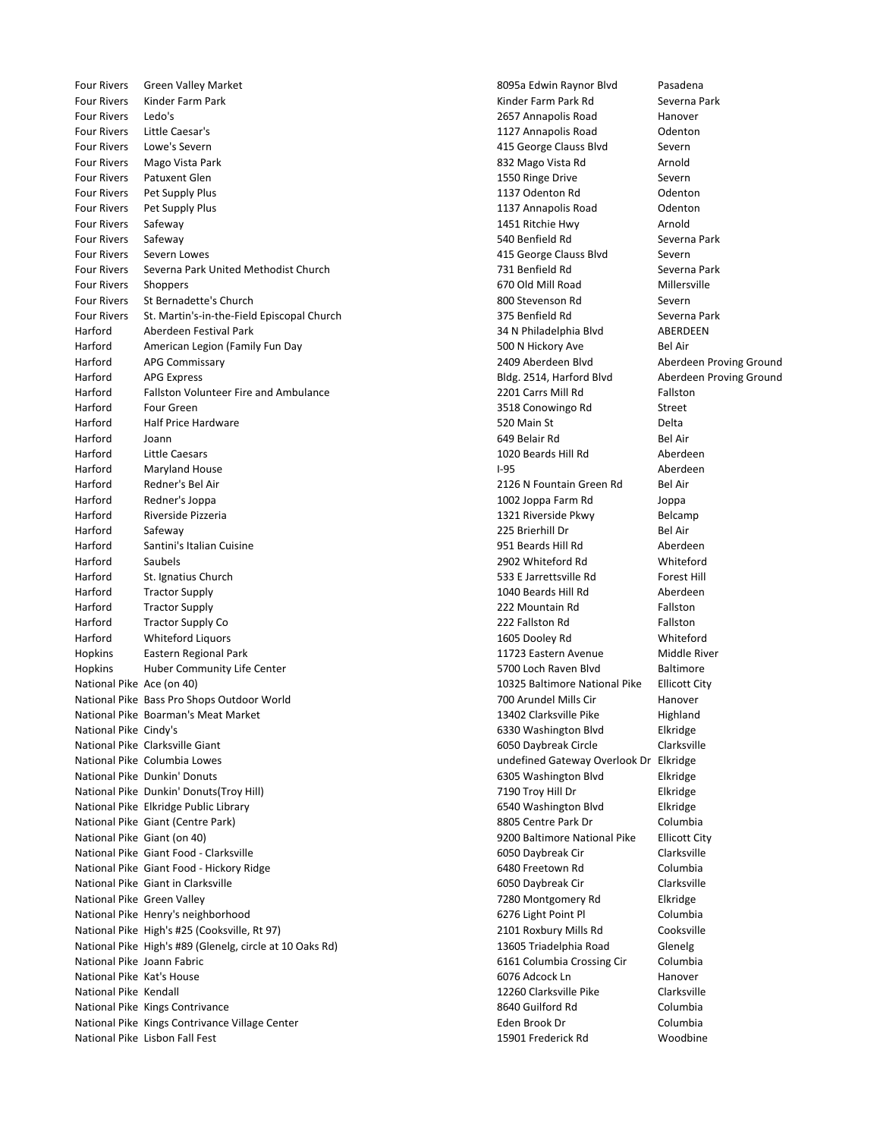Four Rivers Green Valley Market 8095a Edwin Raynor Blvd Pasadena Four Rivers Kinder Farm Park Kinder Farm Park Rd Severna Park Four Rivers Ledo's 2657 Annapolis Road Hanover Four Rivers Little Caesar's **1127 Annapolis Road Collection** Four Rivers Lowe's Severn **Example 2018** Control Controller Manual According to the Severn Severn Controller Severn Severn Severn Severn Severn Severn Severn Severn Severn Severn Severn Severn Severn Severn Severn Severn S Four Rivers Mago Vista Park **Arnold Contract Contract Contract Contract Contract Contract Contract Contract Arnold** Four Rivers Patuxent Glen **1550 Ringe Drive Severn** 1550 Ringe Drive Severn Four Rivers Pet Supply Plus 1137 Odenton Rd Odenton Four Rivers Pet Supply Plus **Four Rivers Pet Supply Plus** 2004 Annapolis Road Colenton Four Rivers Safeway 1451 Ritchie Hwy Arnold Four Rivers Safeway 540 Benfield Rd Severna Park Four Rivers Severn Lowes **According to the Contract Contract Contract Contract Contract Contract Contract Contract Contract Contract Contract Contract Contract Contract Contract Contract Contract Contract Contract Contract** Four Rivers Severna Park United Methodist Church 731 Benfield Rd Severna Park Four Rivers Shoppers 670 Old Mill Road Millersville Four Rivers St Bernadette's Church 800 Stevenson Rd Severn Four Rivers St. Martin's-in-the-Field Episcopal Church 375 Benfield Rd Severna Park Harford Aberdeen Festival Park 34 N Philadelphia Blvd ABERDEEN Harford American Legion (Family Fun Day 500 N Hickory Ave 500 N Hickory Ave Bel Air Harford APG Commissary 2409 Aberdeen Blvd Aberdeen Proving Ground Harford APG Express Bldg. 2514, Harford Blvd Aberdeen Proving Ground Harford Fallston Volunteer Fire and Ambulance **1998** 2201 Carrs Mill Rd Fallston Harford Four Green **Four Green 2008** Conowingo Rd Street Harford Half Price Hardware 520 Main St Delta Harford Joann 649 Belair Rd Bel Air Harford Little Caesars 1020 Beards Hill Rd Aberdeen Harford Maryland House **I-95** Aberdeen Aberdeen Aberdeen Aberdeen Aberdeen Aberdeen Aberdeen Aberdeen Aberdeen Aberdeen Aberdeen Aberdeen Aberdeen Aberdeen Aberdeen Aberdeen Aberdeen Aberdeen Aberdeen Aberdeen Aberdeen Abe Harford Redner's Bel Air 2126 N Fountain Green Rd Bel Air Harford Redner's Joppa 1002 Joppa Farm Rd Joppa Harford Riverside Pizzeria 1321 Riverside Pkwy Belcamp Harford Safeway 225 Brierhill Dr Bel Air Harford Santini's Italian Cuisine **Matter and Aberdeen** 951 Beards Hill Rd Aberdeen Harford Saubels 2902 Whiteford Rd Whiteford Harford St. Ignatius Church 61 Channels Church 533 E Jarrettsville Rd Forest Hill Harford Tractor Supply **1040 Beards Hill Rd** Aberdeen Harford Tractor Supply 222 Mountain Rd Fallston Harford Tractor Supply Co **Fallston Contract Contract Contract Contract Contract Contract Contract Contract Contract Contract Contract Contract Contract Contract Contract Contract Contract Contract Contract Contract Contra** Harford Whiteford Liquors 1605 Dooley Rd Whiteford Hopkins Eastern Regional Park 11723 Eastern Avenue Middle River Hopkins Huber Community Life Center 1992 1996 1997 100 States 1998 100 States 1998 100 Hoch Raven Blvd Baltimore National Pike Ace (on 40) 10325 Baltimore National Pike Ellicott City National Pike Bass Pro Shops Outdoor World 700 Arundel Mills Cir Hanover National Pike Boarman's Meat Market National Pike 13402 Clarksville Pike Highland National Pike Cindy's **Elkridge** 6330 Washington Blvd Elkridge National Pike Clarksville Giant **6050 Daybreak Circle** Clarksville National Pike Columbia Lowes undefined Gateway Overlook Dr Elkridge National Pike Dunkin' Donuts 6305 Washington Blvd Elkridge National Pike Dunkin' Donuts(Troy Hill) 7190 Troy Hill Dr Elkridge National Pike Elkridge Public Library **6540 Washington Blvd** Elkridge Elkridge Elkridge National Pike Giant (Centre Park) 8805 Centre Park Dr Columbia National Pike Giant (on 40) 9200 Baltimore National Pike Ellicott City National Pike Giant Food - Clarksville 6050 University of the 6050 Daybreak Cir Clarksville National Pike Giant Food - Hickory Ridge **6480** Freetown Rd Columbia National Pike Giant in Clarksville **6050 Daybreak Cir** Clarksville National Pike Green Valley **National Pike Green Valley 7280 Montgomery Rd** Elkridge National Pike Henry's neighborhood 6276 Light Point Pl Columbia National Pike High's #25 (Cooksville, Rt 97) 2101 Roxbury Mills Rd Cooksville National Pike High's #89 (Glenelg, circle at 10 Oaks Rd) 13605 Triadelphia Road Glenelg National Pike Joann Fabric 6161 Columbia Crossing Cir Columbia National Pike Kat's House **6076 Additional Pike Kat's Hanover 6076 Additional Pike Kat's Hanover** National Pike Kendall 12260 Clarksville Pike Clarksville National Pike Kings Contrivance 8640 Guilford Rd Columbia National Pike Kings Contrivance Village Center **Eden Brook Dr** Eden Brook Dr Columbia National Pike Lisbon Fall Fest 15901 Frederick Rd Woodbine